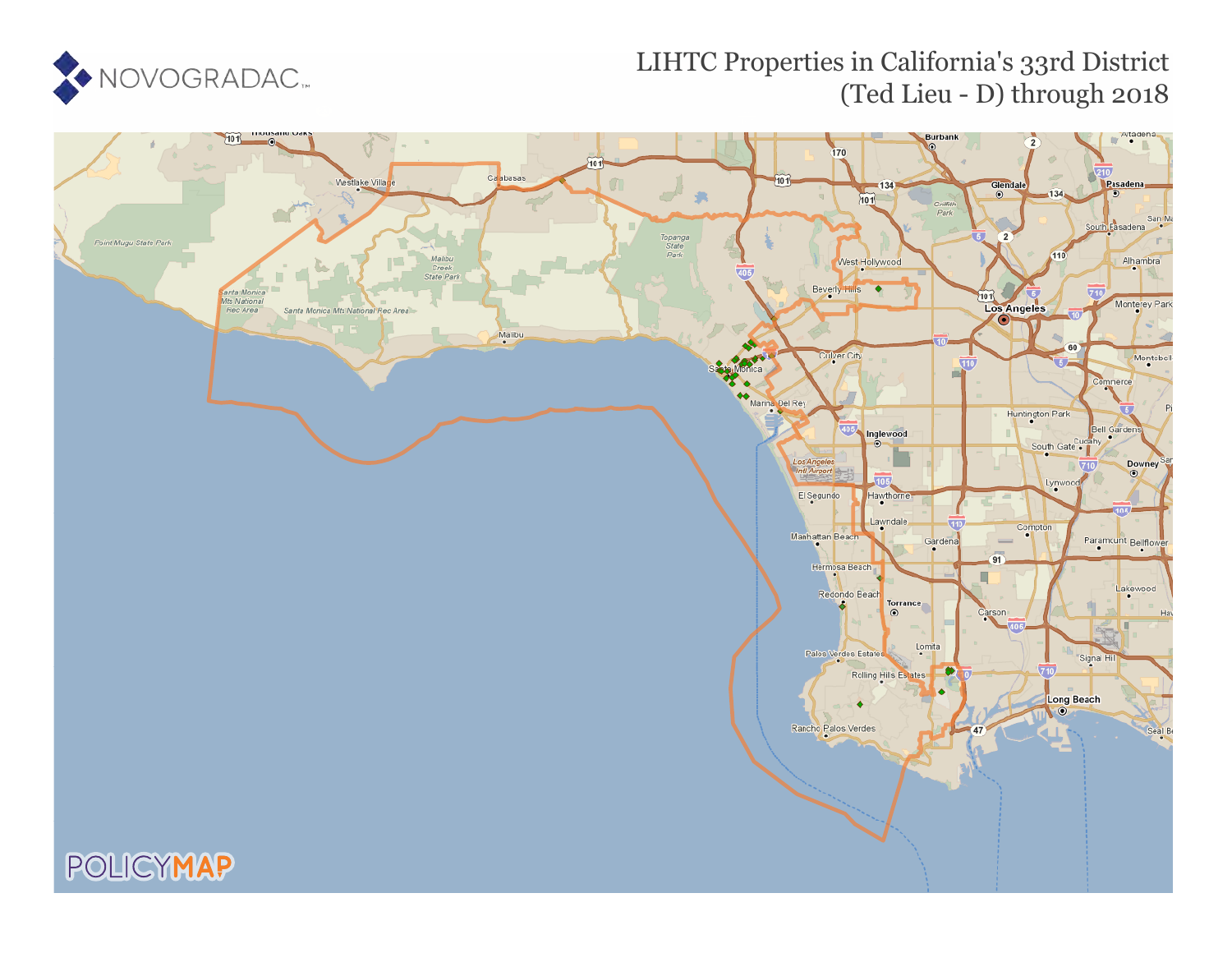

### LIHTC Properties in California's 33rd District (Ted Lieu - D) through 2018

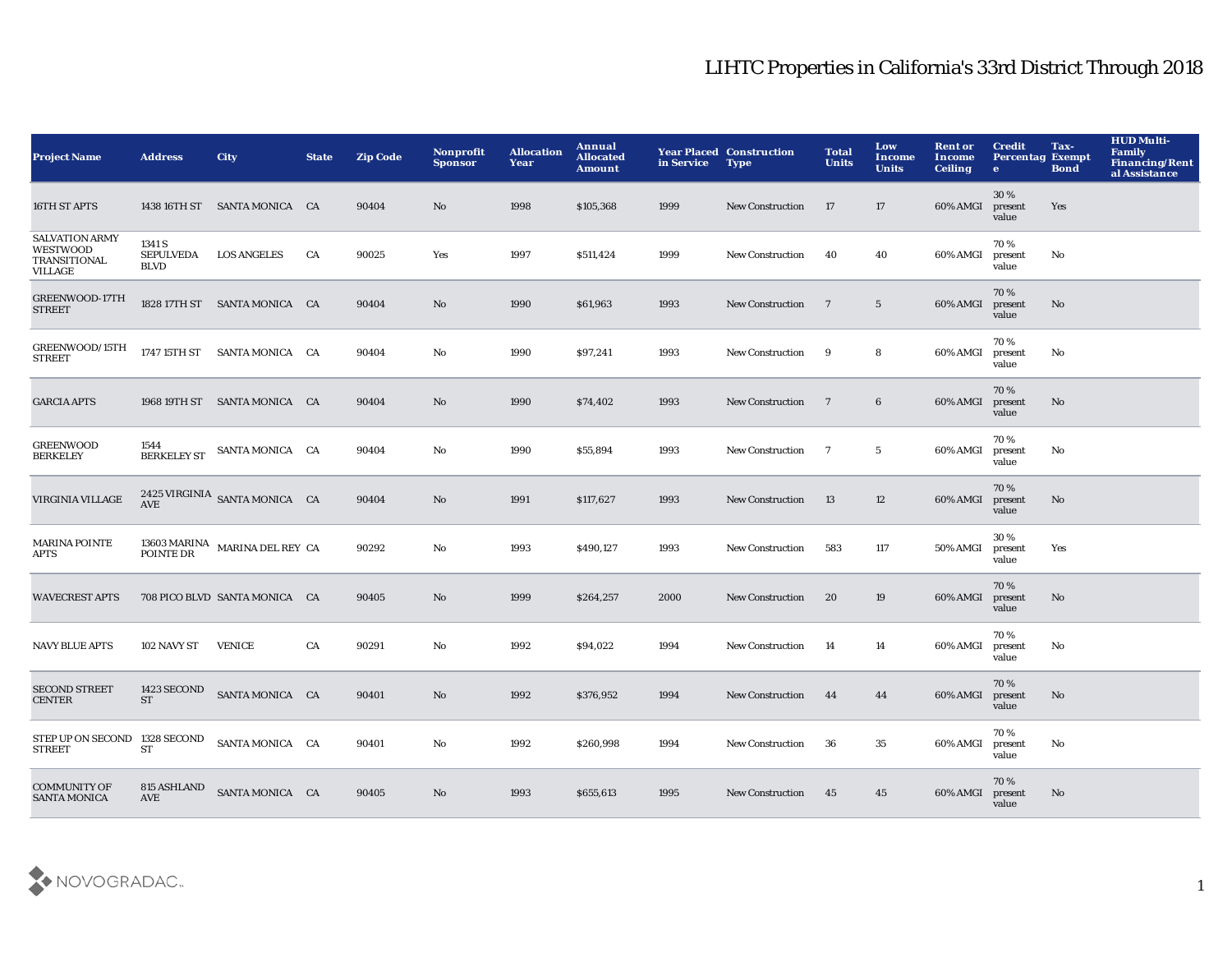| <b>Project Name</b>                                                 | <b>Address</b>                            | <b>City</b>                       | <b>State</b> | <b>Zip Code</b> | Nonprofit<br><b>Sponsor</b> | <b>Allocation</b><br>Year | Annual<br><b>Allocated</b><br><b>Amount</b> | in Service | <b>Year Placed Construction</b><br><b>Type</b> | <b>Total</b><br><b>Units</b> | Low<br>Income<br><b>Units</b> | <b>Rent or</b><br>Income<br><b>Ceiling</b> | <b>Credit</b><br><b>Percentag Exempt</b><br>$\bullet$ | Tax-<br><b>Bond</b> | <b>HUD Multi-</b><br><b>Family</b><br><b>Financing/Rent</b><br>al Assistance |
|---------------------------------------------------------------------|-------------------------------------------|-----------------------------------|--------------|-----------------|-----------------------------|---------------------------|---------------------------------------------|------------|------------------------------------------------|------------------------------|-------------------------------|--------------------------------------------|-------------------------------------------------------|---------------------|------------------------------------------------------------------------------|
| 16TH ST APTS                                                        | 1438 16TH ST                              | SANTA MONICA CA                   |              | 90404           | No.                         | 1998                      | \$105,368                                   | 1999       | <b>New Construction</b>                        | -17                          | 17                            | 60% AMGI                                   | 30%<br>present<br>value                               | Yes                 |                                                                              |
| <b>SALVATION ARMY</b><br><b>WESTWOOD</b><br>TRANSITIONAL<br>VILLAGE | 1341 S<br><b>SEPULVEDA</b><br><b>BLVD</b> | <b>LOS ANGELES</b>                | CA           | 90025           | Yes                         | 1997                      | \$511,424                                   | 1999       | <b>New Construction</b>                        | 40                           | 40                            | 60% AMGI                                   | 70%<br>present<br>value                               | No                  |                                                                              |
| GREENWOOD-17TH<br><b>STREET</b>                                     |                                           | 1828 17TH ST SANTA MONICA CA      |              | 90404           | No                          | 1990                      | \$61,963                                    | 1993       | <b>New Construction</b>                        | $\overline{7}$               | $5\phantom{.0}$               | 60% AMGI                                   | 70%<br>present<br>value                               | No                  |                                                                              |
| GREENWOOD/15TH<br><b>STREET</b>                                     |                                           | 1747 15TH ST SANTA MONICA CA      |              | 90404           | No                          | 1990                      | \$97,241                                    | 1993       | <b>New Construction</b>                        | 9                            | 8                             | 60% AMGI                                   | 70%<br>present<br>value                               | No                  |                                                                              |
| <b>GARCIA APTS</b>                                                  |                                           | 1968 19TH ST SANTA MONICA CA      |              | 90404           | No                          | 1990                      | \$74,402                                    | 1993       | <b>New Construction</b>                        | $\overline{7}$               | $6\phantom{.0}$               | 60% AMGI                                   | 70%<br>present<br>value                               | $\mathbf{No}$       |                                                                              |
| <b>GREENWOOD</b><br><b>BERKELEY</b>                                 | 1544<br><b>BERKELEY ST</b>                | SANTA MONICA CA                   |              | 90404           | No                          | 1990                      | \$55,894                                    | 1993       | <b>New Construction</b>                        | $\overline{7}$               | $5\phantom{.0}$               | 60% AMGI                                   | 70 %<br>present<br>value                              | No                  |                                                                              |
| VIRGINIA VILLAGE                                                    | <b>AVE</b>                                | 2425 VIRGINIA SANTA MONICA CA     |              | 90404           | No                          | 1991                      | \$117,627                                   | 1993       | <b>New Construction</b>                        | 13                           | 12                            | 60% AMGI                                   | 70%<br>present<br>value                               | $\mathbf{No}$       |                                                                              |
| <b>MARINA POINTE</b><br>APTS                                        | POINTE DR                                 | 13603 MARINA<br>MARINA DEL REY CA |              | 90292           | No                          | 1993                      | \$490,127                                   | 1993       | <b>New Construction</b>                        | 583                          | 117                           | 50% AMGI                                   | 30 %<br>present<br>value                              | Yes                 |                                                                              |
| <b>WAVECREST APTS</b>                                               |                                           | 708 PICO BLVD SANTA MONICA CA     |              | 90405           | No                          | 1999                      | \$264,257                                   | 2000       | <b>New Construction</b>                        | 20                           | 19                            | 60% AMGI                                   | 70%<br>present<br>value                               | $\mathbf{No}$       |                                                                              |
| <b>NAVY BLUE APTS</b>                                               | 102 NAVY ST                               | <b>VENICE</b>                     | CA           | 90291           | No                          | 1992                      | \$94,022                                    | 1994       | <b>New Construction</b>                        | 14                           | 14                            | 60% AMGI                                   | 70%<br>present<br>value                               | No                  |                                                                              |
| <b>SECOND STREET</b><br><b>CENTER</b>                               | 1423 SECOND<br><b>ST</b>                  | SANTA MONICA CA                   |              | 90401           | No                          | 1992                      | \$376,952                                   | 1994       | <b>New Construction</b>                        | 44                           | 44                            | 60% AMGI                                   | 70%<br>present<br>value                               | No                  |                                                                              |
| STEP UP ON SECOND 1328 SECOND<br><b>STREET</b>                      | <b>ST</b>                                 | SANTA MONICA CA                   |              | 90401           | No                          | 1992                      | \$260,998                                   | 1994       | <b>New Construction</b>                        | 36                           | 35                            | 60% AMGI                                   | 70%<br>present<br>value                               | No                  |                                                                              |
| <b>COMMUNITY OF</b><br><b>SANTA MONICA</b>                          | 815 ASHLAND<br><b>AVE</b>                 | SANTA MONICA CA                   |              | 90405           | No                          | 1993                      | \$655,613                                   | 1995       | <b>New Construction</b>                        | 45                           | 45                            | 60% AMGI                                   | 70%<br>present<br>value                               | No                  |                                                                              |

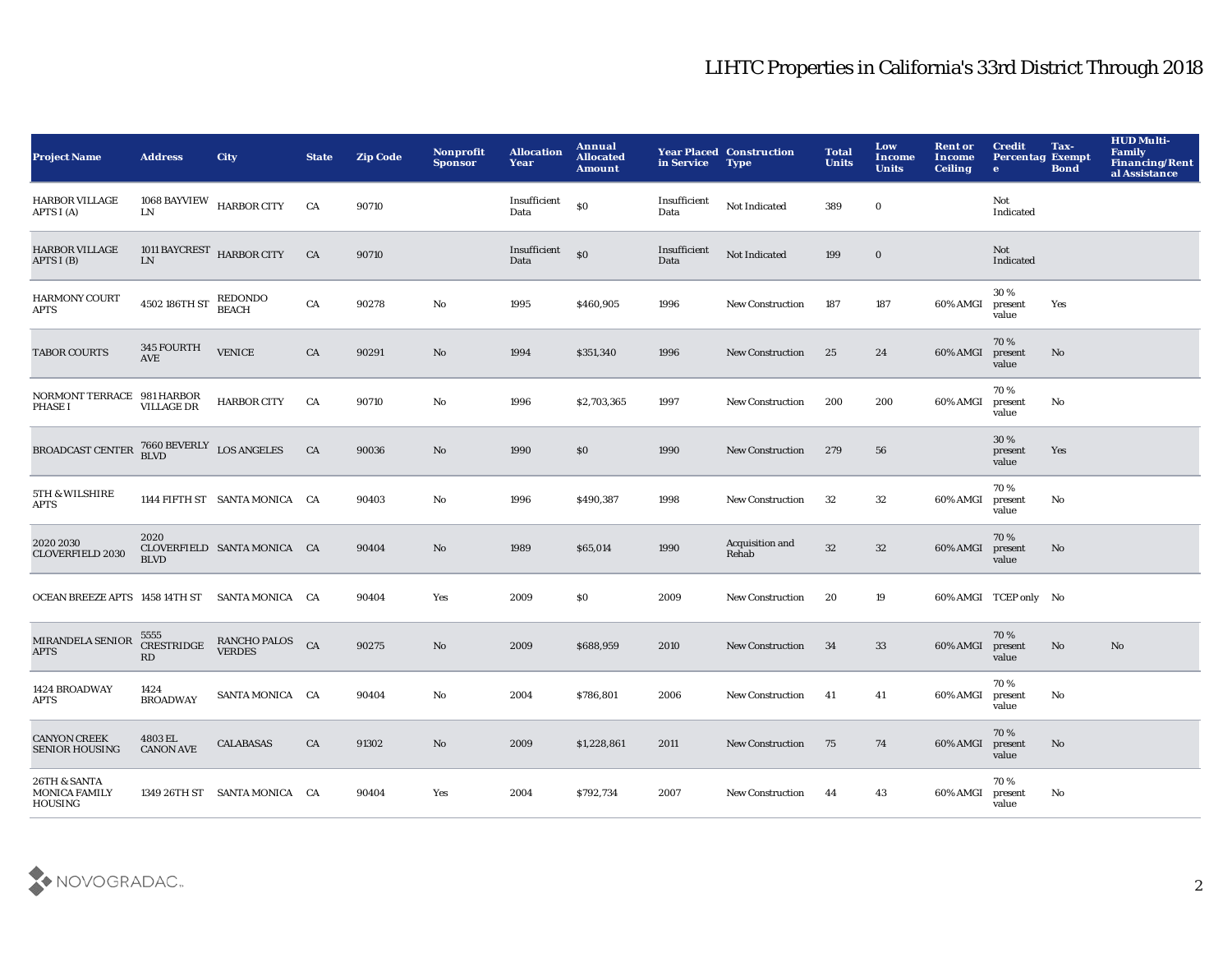| <b>Project Name</b>                                    | <b>Address</b>                                    | <b>City</b>                      | <b>State</b> | <b>Zip Code</b> | <b>Nonprofit</b><br><b>Sponsor</b> | <b>Allocation</b><br>Year | Annual<br><b>Allocated</b><br><b>Amount</b> | in Service           | <b>Year Placed Construction</b><br><b>Type</b> | <b>Total</b><br><b>Units</b> | Low<br>Income<br><b>Units</b> | <b>Rent or</b><br>Income<br><b>Ceiling</b> | <b>Credit</b><br><b>Percentag Exempt</b><br>$\bullet$ | Tax-<br><b>Bond</b> | <b>HUD Multi-</b><br><b>Family</b><br><b>Financing/Rent</b><br>al Assistance |
|--------------------------------------------------------|---------------------------------------------------|----------------------------------|--------------|-----------------|------------------------------------|---------------------------|---------------------------------------------|----------------------|------------------------------------------------|------------------------------|-------------------------------|--------------------------------------------|-------------------------------------------------------|---------------------|------------------------------------------------------------------------------|
| HARBOR VILLAGE<br>APTS I (A)                           | ${\rm LN}$                                        | 1068 BAYVIEW HARBOR CITY         | CA           | 90710           |                                    | Insufficient<br>Data      | \$0                                         | Insufficient<br>Data | Not Indicated                                  | 389                          | $\mathbf 0$                   |                                            | Not<br>Indicated                                      |                     |                                                                              |
| <b>HARBOR VILLAGE</b><br>APTS I (B)                    | 1011 BAYCREST HARBOR CITY<br>${\rm LN}$           |                                  | CA           | 90710           |                                    | Insufficient<br>Data      | \$0                                         | Insufficient<br>Data | Not Indicated                                  | 199                          | $\bf{0}$                      |                                            | Not<br>Indicated                                      |                     |                                                                              |
| <b>HARMONY COURT</b><br>APTS                           | 4502 186TH ST                                     | REDONDO<br>BEACH                 | CA           | 90278           | $\mathbf{No}$                      | 1995                      | \$460,905                                   | 1996                 | New Construction                               | 187                          | 187                           | 60% AMGI                                   | 30%<br>present<br>value                               | Yes                 |                                                                              |
| <b>TABOR COURTS</b>                                    | 345 FOURTH<br><b>AVE</b>                          | <b>VENICE</b>                    | CA           | 90291           | No                                 | 1994                      | \$351,340                                   | 1996                 | <b>New Construction</b>                        | 25                           | 24                            | 60% AMGI                                   | 70%<br>present<br>value                               | No                  |                                                                              |
| NORMONT TERRACE 981 HARBOR<br><b>PHASE I</b>           | <b>VILLAGE DR</b>                                 | <b>HARBOR CITY</b>               | CA           | 90710           | No                                 | 1996                      | \$2,703,365                                 | 1997                 | <b>New Construction</b>                        | 200                          | 200                           | 60% AMGI                                   | 70%<br>present<br>value                               | No                  |                                                                              |
| BROADCAST CENTER                                       | $7660 \, {\rm BEVERLY}$ ${\rm LOS\ ANGELES}$ BLVD |                                  | CA           | 90036           | No                                 | 1990                      | \$0                                         | 1990                 | <b>New Construction</b>                        | 279                          | 56                            |                                            | 30%<br>present<br>value                               | Yes                 |                                                                              |
| 5TH & WILSHIRE<br>APTS                                 |                                                   | 1144 FIFTH ST SANTA MONICA CA    |              | 90403           | No                                 | 1996                      | \$490,387                                   | 1998                 | <b>New Construction</b>                        | 32                           | $32\,$                        | 60% AMGI                                   | 70%<br>present<br>value                               | No                  |                                                                              |
| 2020 2030<br><b>CLOVERFIELD 2030</b>                   | 2020<br><b>BLVD</b>                               | CLOVERFIELD SANTA MONICA CA      |              | 90404           | No                                 | 1989                      | \$65,014                                    | 1990                 | Acquisition and<br>Rehab                       | 32                           | 32                            | 60% AMGI                                   | 70%<br>present<br>value                               | No                  |                                                                              |
| OCEAN BREEZE APTS 1458 14TH ST SANTA MONICA CA         |                                                   |                                  |              | 90404           | Yes                                | 2009                      | \$0                                         | 2009                 | <b>New Construction</b>                        | 20                           | 19                            |                                            | 60% AMGI TCEP only No                                 |                     |                                                                              |
| MIRANDELA SENIOR<br><b>APTS</b>                        | 5555<br><b>CRESTRIDGE</b><br>RD                   | RANCHO PALOS CA<br><b>VERDES</b> |              | 90275           | No                                 | 2009                      | \$688,959                                   | 2010                 | <b>New Construction</b>                        | 34                           | 33                            | 60% AMGI                                   | 70%<br>present<br>value                               | No                  | No                                                                           |
| 1424 BROADWAY<br>APTS                                  | 1424<br><b>BROADWAY</b>                           | SANTA MONICA CA                  |              | 90404           | No                                 | 2004                      | \$786,801                                   | 2006                 | New Construction                               | 41                           | 41                            | 60% AMGI                                   | 70%<br>present<br>value                               | No                  |                                                                              |
| <b>CANYON CREEK</b><br><b>SENIOR HOUSING</b>           | 4803 EL<br><b>CANON AVE</b>                       | <b>CALABASAS</b>                 | CA           | 91302           | No                                 | 2009                      | \$1,228,861                                 | 2011                 | <b>New Construction</b>                        | 75                           | 74                            | 60% AMGI                                   | 70%<br>present<br>value                               | No                  |                                                                              |
| 26TH & SANTA<br><b>MONICA FAMILY</b><br><b>HOUSING</b> |                                                   | 1349 26TH ST SANTA MONICA CA     |              | 90404           | Yes                                | 2004                      | \$792,734                                   | 2007                 | <b>New Construction</b>                        | 44                           | 43                            | 60% AMGI                                   | 70%<br>present<br>value                               | No                  |                                                                              |

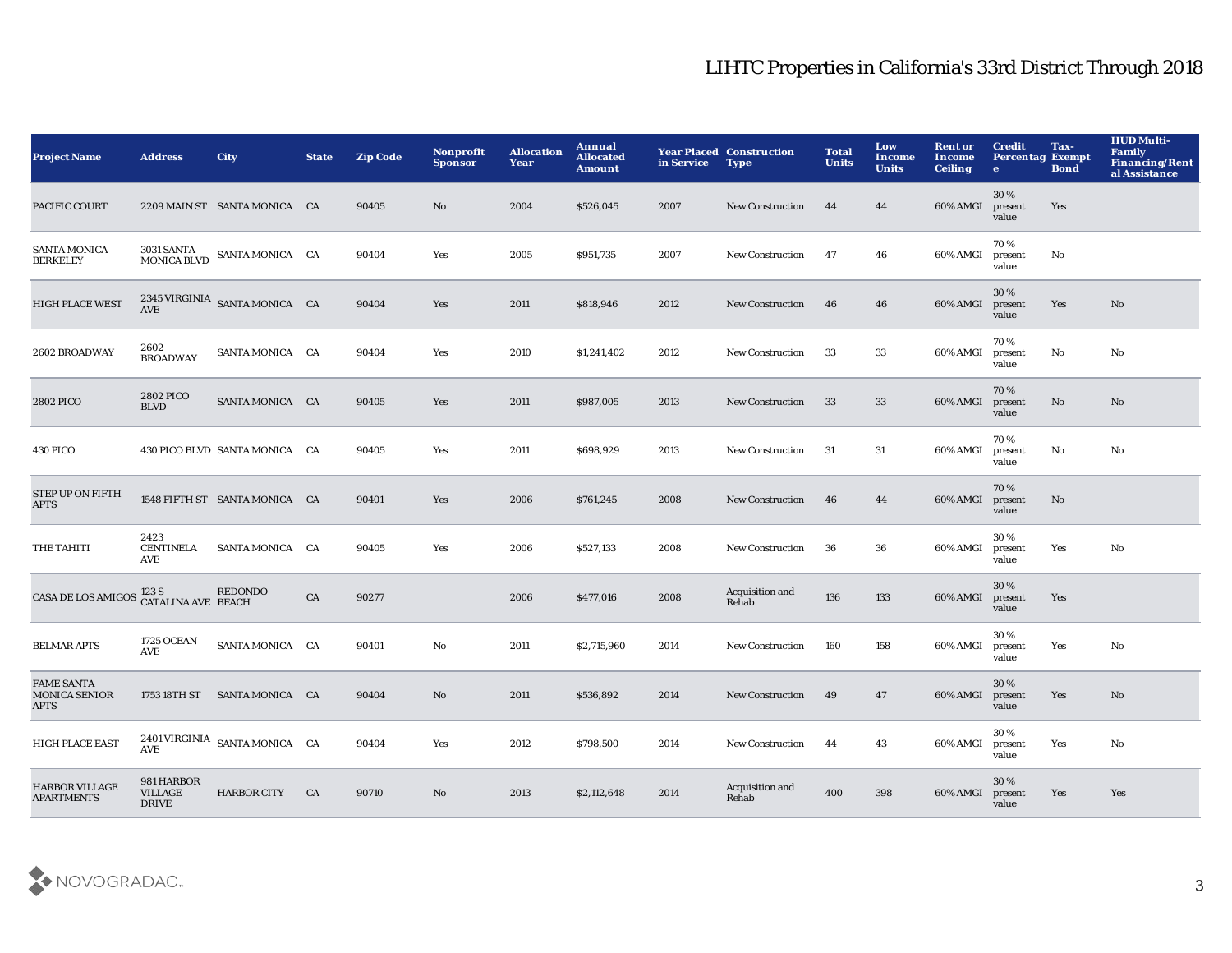| <b>Project Name</b>                                      | <b>Address</b>                               | <b>City</b>                                              | <b>State</b> | <b>Zip Code</b> | Nonprofit<br><b>Sponsor</b> | <b>Allocation</b><br>Year | Annual<br><b>Allocated</b><br><b>Amount</b> | in Service | <b>Year Placed Construction</b><br><b>Type</b> | <b>Total</b><br><b>Units</b> | Low<br><b>Income</b><br><b>Units</b> | <b>Rent or</b><br>Income<br><b>Ceiling</b> | <b>Credit</b><br><b>Percentag Exempt</b><br>$\mathbf{e}$ | Tax-<br><b>Bond</b> | <b>HUD Multi-</b><br><b>Family</b><br><b>Financing/Rent</b><br>al Assistance |
|----------------------------------------------------------|----------------------------------------------|----------------------------------------------------------|--------------|-----------------|-----------------------------|---------------------------|---------------------------------------------|------------|------------------------------------------------|------------------------------|--------------------------------------|--------------------------------------------|----------------------------------------------------------|---------------------|------------------------------------------------------------------------------|
| PACIFIC COURT                                            |                                              | 2209 MAIN ST SANTA MONICA CA                             |              | 90405           | No                          | 2004                      | \$526,045                                   | 2007       | <b>New Construction</b>                        | 44                           | 44                                   | 60% AMGI                                   | 30%<br>present<br>value                                  | Yes                 |                                                                              |
| <b>SANTA MONICA</b><br><b>BERKELEY</b>                   | <b>3031 SANTA</b><br><b>MONICA BLVD</b>      | SANTA MONICA CA                                          |              | 90404           | Yes                         | 2005                      | \$951,735                                   | 2007       | New Construction                               | 47                           | 46                                   | 60% AMGI                                   | 70%<br>present<br>value                                  | No                  |                                                                              |
| <b>HIGH PLACE WEST</b>                                   |                                              | $2345\, \rm{VIRGINIA} \quad$ SANTA MONICA $\quad$ CA AVE |              | 90404           | Yes                         | 2011                      | \$818,946                                   | 2012       | <b>New Construction</b>                        | 46                           | 46                                   | 60% AMGI                                   | 30%<br>present<br>value                                  | Yes                 | No                                                                           |
| 2602 BROADWAY                                            | 2602<br><b>BROADWAY</b>                      | SANTA MONICA CA                                          |              | 90404           | Yes                         | 2010                      | \$1,241,402                                 | 2012       | New Construction                               | 33                           | 33                                   | 60% AMGI                                   | 70%<br>present<br>value                                  | No                  | No                                                                           |
| 2802 PICO                                                | 2802 PICO<br><b>BLVD</b>                     | SANTA MONICA CA                                          |              | 90405           | Yes                         | 2011                      | \$987,005                                   | 2013       | <b>New Construction</b>                        | 33                           | 33                                   | 60% AMGI                                   | 70%<br>present<br>value                                  | No                  | No                                                                           |
| 430 PICO                                                 |                                              | 430 PICO BLVD SANTA MONICA CA                            |              | 90405           | Yes                         | 2011                      | \$698,929                                   | 2013       | <b>New Construction</b>                        | -31                          | 31                                   | 60% AMGI                                   | 70%<br>present<br>value                                  | No                  | No                                                                           |
| <b>STEP UP ON FIFTH</b><br><b>APTS</b>                   |                                              | 1548 FIFTH ST SANTA MONICA CA                            |              | 90401           | Yes                         | 2006                      | \$761,245                                   | 2008       | <b>New Construction</b>                        | 46                           | 44                                   | 60% AMGI                                   | 70%<br>present<br>value                                  | No                  |                                                                              |
| THE TAHITI                                               | 2423<br><b>CENTINELA</b><br>AVE              | SANTA MONICA CA                                          |              | 90405           | Yes                         | 2006                      | \$527,133                                   | 2008       | <b>New Construction</b>                        | 36                           | 36                                   | 60% AMGI                                   | 30%<br>present<br>value                                  | Yes                 | No                                                                           |
| <b>CASA DE LOS AMIGOS</b>                                | 123 S<br><b>CATALINA AVE BEACH</b>           | REDONDO                                                  | CA           | 90277           |                             | 2006                      | \$477,016                                   | 2008       | Acquisition and<br>Rehab                       | 136                          | 133                                  | 60% AMGI                                   | 30%<br>present<br>value                                  | Yes                 |                                                                              |
| <b>BELMAR APTS</b>                                       | <b>1725 OCEAN</b><br>AVE                     | SANTA MONICA CA                                          |              | 90401           | $\mathbf{N}\mathbf{o}$      | 2011                      | \$2,715,960                                 | 2014       | <b>New Construction</b>                        | 160                          | 158                                  | 60% AMGI                                   | 30%<br>present<br>value                                  | Yes                 | No                                                                           |
| <b>FAME SANTA</b><br><b>MONICA SENIOR</b><br><b>APTS</b> |                                              | 1753 18TH ST SANTA MONICA CA                             |              | 90404           | No                          | 2011                      | \$536,892                                   | 2014       | <b>New Construction</b>                        | 49                           | 47                                   | 60% AMGI                                   | 30%<br>present<br>value                                  | Yes                 | No                                                                           |
| <b>HIGH PLACE EAST</b>                                   | AVE                                          | 2401 VIRGINIA SANTA MONICA CA                            |              | 90404           | Yes                         | 2012                      | \$798,500                                   | 2014       | <b>New Construction</b>                        | 44                           | 43                                   | 60% AMGI                                   | 30%<br>present<br>value                                  | Yes                 | No                                                                           |
| <b>HARBOR VILLAGE</b><br><b>APARTMENTS</b>               | 981 HARBOR<br><b>VILLAGE</b><br><b>DRIVE</b> | <b>HARBOR CITY</b>                                       | <b>CA</b>    | 90710           | No                          | 2013                      | \$2,112,648                                 | 2014       | Acquisition and<br>Rehab                       | 400                          | 398                                  | 60% AMGI                                   | 30%<br>present<br>value                                  | Yes                 | Yes                                                                          |